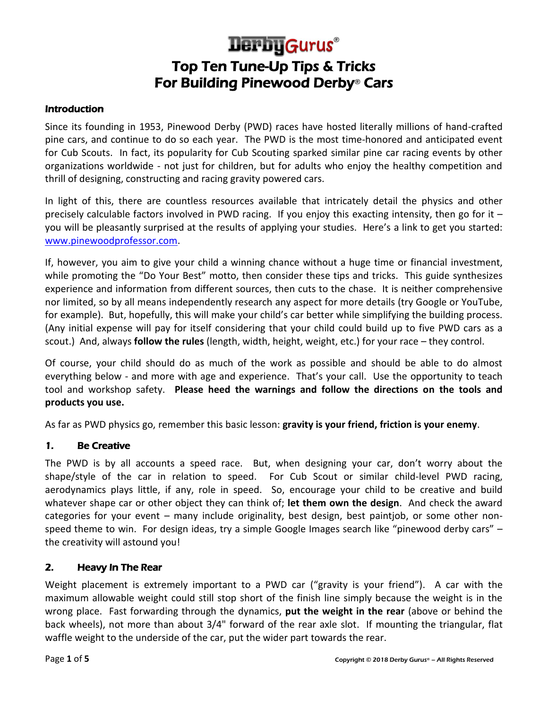# Top Ten Tune-Up Tips & Tricks For Building Pinewood Derby® Cars **Derby Gurus**®

#### **Introduction**

Since its founding in 1953, Pinewood Derby (PWD) races have hosted literally millions of hand-crafted pine cars, and continue to do so each year. The PWD is the most time-honored and anticipated event for Cub Scouts. In fact, its popularity for Cub Scouting sparked similar pine car racing events by other organizations worldwide - not just for children, but for adults who enjoy the healthy competition and thrill of designing, constructing and racing gravity powered cars.

In light of this, there are countless resources available that intricately detail the physics and other precisely calculable factors involved in PWD racing. If you enjoy this exacting intensity, then go for it – you will be pleasantly surprised at the results of applying your studies. Here's a link to get you started: [www.pinewoodprofessor.com.](http://www.pinewoodprofessor.com/)

If, however, you aim to give your child a winning chance without a huge time or financial investment, while promoting the "Do Your Best" motto, then consider these tips and tricks. This guide synthesizes experience and information from different sources, then cuts to the chase. It is neither comprehensive nor limited, so by all means independently research any aspect for more details (try Google or YouTube, for example). But, hopefully, this will make your child's car better while simplifying the building process. (Any initial expense will pay for itself considering that your child could build up to five PWD cars as a scout.) And, always **follow the rules** (length, width, height, weight, etc.) for your race – they control.

Of course, your child should do as much of the work as possible and should be able to do almost everything below - and more with age and experience. That's your call. Use the opportunity to teach tool and workshop safety. **Please heed the warnings and follow the directions on the tools and products you use.**

As far as PWD physics go, remember this basic lesson: **gravity is your friend, friction is your enemy**.

### 1. Be Creative

The PWD is by all accounts a speed race. But, when designing your car, don't worry about the shape/style of the car in relation to speed. For Cub Scout or similar child-level PWD racing, aerodynamics plays little, if any, role in speed. So, encourage your child to be creative and build whatever shape car or other object they can think of; **let them own the design**. And check the award categories for your event – many include originality, best design, best paintjob, or some other nonspeed theme to win. For design ideas, try a simple Google Images search like "pinewood derby cars" – the creativity will astound you!

### 2. Heavy In The Rear

Weight placement is extremely important to a PWD car ("gravity is your friend"). A car with the maximum allowable weight could still stop short of the finish line simply because the weight is in the wrong place. Fast forwarding through the dynamics, **put the weight in the rear** (above or behind the back wheels), not more than about 3/4" forward of the rear axle slot. If mounting the triangular, flat waffle weight to the underside of the car, put the wider part towards the rear.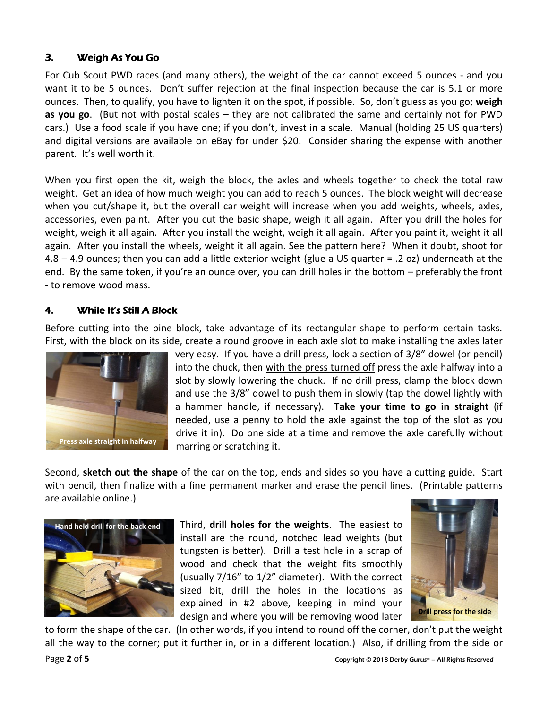## 3. Weigh As You Go

For Cub Scout PWD races (and many others), the weight of the car cannot exceed 5 ounces - and you want it to be 5 ounces. Don't suffer rejection at the final inspection because the car is 5.1 or more ounces. Then, to qualify, you have to lighten it on the spot, if possible. So, don't guess as you go; **weigh as you go**. (But not with postal scales – they are not calibrated the same and certainly not for PWD cars.) Use a food scale if you have one; if you don't, invest in a scale. Manual (holding 25 US quarters) and digital versions are available on eBay for under \$20. Consider sharing the expense with another parent. It's well worth it.

When you first open the kit, weigh the block, the axles and wheels together to check the total raw weight. Get an idea of how much weight you can add to reach 5 ounces. The block weight will decrease when you cut/shape it, but the overall car weight will increase when you add weights, wheels, axles, accessories, even paint. After you cut the basic shape, weigh it all again. After you drill the holes for weight, weigh it all again. After you install the weight, weigh it all again. After you paint it, weight it all again. After you install the wheels, weight it all again. See the pattern here? When it doubt, shoot for 4.8 – 4.9 ounces; then you can add a little exterior weight (glue a US quarter = .2 oz) underneath at the end. By the same token, if you're an ounce over, you can drill holes in the bottom – preferably the front - to remove wood mass.

## 4. While It's Still A Block

Before cutting into the pine block, take advantage of its rectangular shape to perform certain tasks. First, with the block on its side, create a round groove in each axle slot to make installing the axles later



very easy. If you have a drill press, lock a section of 3/8" dowel (or pencil) into the chuck, then with the press turned off press the axle halfway into a slot by slowly lowering the chuck. If no drill press, clamp the block down and use the 3/8" dowel to push them in slowly (tap the dowel lightly with a hammer handle, if necessary). **Take your time to go in straight** (if needed, use a penny to hold the axle against the top of the slot as you drive it in). Do one side at a time and remove the axle carefully without marring or scratching it.

Second, **sketch out the shape** of the car on the top, ends and sides so you have a cutting guide. Start with pencil, then finalize with a fine permanent marker and erase the pencil lines. (Printable patterns are available online.)



Third, **drill holes for the weights**. The easiest to install are the round, notched lead weights (but tungsten is better). Drill a test hole in a scrap of wood and check that the weight fits smoothly (usually 7/16" to 1/2" diameter). With the correct sized bit, drill the holes in the locations as explained in #2 above, keeping in mind your design and where you will be removing wood later



to form the shape of the car. (In other words, if you intend to round off the corner, don't put the weight all the way to the corner; put it further in, or in a different location.) Also, if drilling from the side or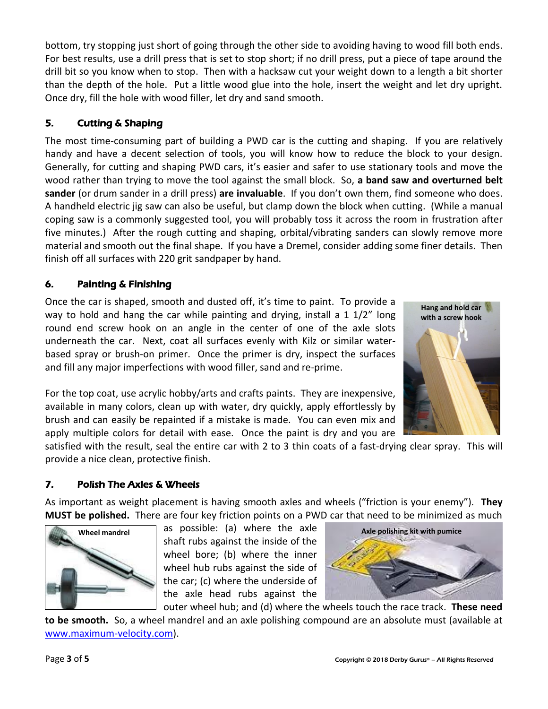bottom, try stopping just short of going through the other side to avoiding having to wood fill both ends. For best results, use a drill press that is set to stop short; if no drill press, put a piece of tape around the drill bit so you know when to stop. Then with a hacksaw cut your weight down to a length a bit shorter than the depth of the hole. Put a little wood glue into the hole, insert the weight and let dry upright. Once dry, fill the hole with wood filler, let dry and sand smooth.

# 5. Cutting & Shaping

The most time-consuming part of building a PWD car is the cutting and shaping. If you are relatively handy and have a decent selection of tools, you will know how to reduce the block to your design. Generally, for cutting and shaping PWD cars, it's easier and safer to use stationary tools and move the wood rather than trying to move the tool against the small block. So, **a band saw and overturned belt sander** (or drum sander in a drill press) **are invaluable**. If you don't own them, find someone who does. A handheld electric jig saw can also be useful, but clamp down the block when cutting. (While a manual coping saw is a commonly suggested tool, you will probably toss it across the room in frustration after five minutes.) After the rough cutting and shaping, orbital/vibrating sanders can slowly remove more material and smooth out the final shape. If you have a Dremel, consider adding some finer details. Then finish off all surfaces with 220 grit sandpaper by hand.

# 6. Painting & Finishing

Once the car is shaped, smooth and dusted off, it's time to paint. To provide a way to hold and hang the car while painting and drying, install a 1 1/2" long round end screw hook on an angle in the center of one of the axle slots underneath the car. Next, coat all surfaces evenly with Kilz or similar waterbased spray or brush-on primer. Once the primer is dry, inspect the surfaces and fill any major imperfections with wood filler, sand and re-prime.

For the top coat, use acrylic hobby/arts and crafts paints. They are inexpensive, available in many colors, clean up with water, dry quickly, apply effortlessly by brush and can easily be repainted if a mistake is made. You can even mix and apply multiple colors for detail with ease. Once the paint is dry and you are



satisfied with the result, seal the entire car with 2 to 3 thin coats of a fast-drying clear spray. This will provide a nice clean, protective finish.

# 7. Polish The Axles & Wheels

As important as weight placement is having smooth axles and wheels ("friction is your enemy"). **They MUST be polished.** There are four key friction points on a PWD car that need to be minimized as much



as possible: (a) where the axle shaft rubs against the inside of the wheel bore; (b) where the inner wheel hub rubs against the side of the car; (c) where the underside of the axle head rubs against the **Wheel mandrel Axle polishing kit with pumice**



outer wheel hub; and (d) where the wheels touch the race track. **These need** 

**to be smooth.** So, a wheel mandrel and an axle polishing compound are an absolute must (available at [www.maximum-velocity.com\)](http://www.maximum-velocity.com/).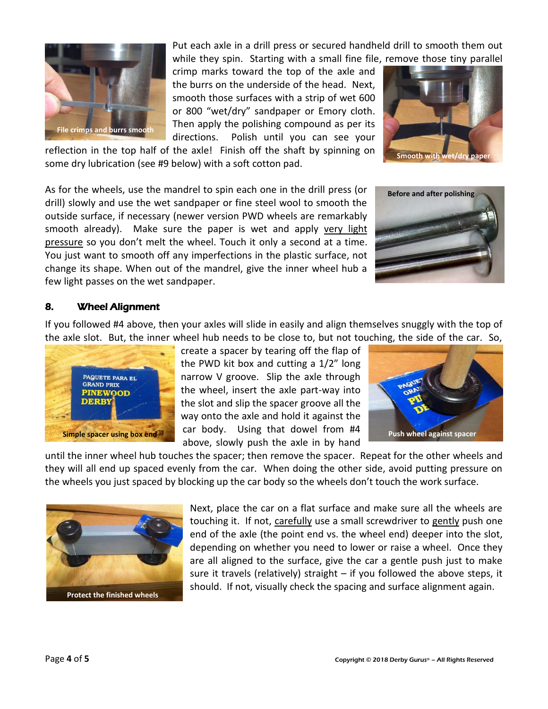

Put each axle in a drill press or secured handheld drill to smooth them out while they spin. Starting with a small fine file, remove those tiny parallel

crimp marks toward the top of the axle and the burrs on the underside of the head. Next, smooth those surfaces with a strip of wet 600 or 800 "wet/dry" sandpaper or Emory cloth. Then apply the polishing compound as per its directions. Polish until you can see your



reflection in the top half of the axle! Finish off the shaft by spinning on some dry lubrication (see #9 below) with a soft cotton pad.

As for the wheels, use the mandrel to spin each one in the drill press (or drill) slowly and use the wet sandpaper or fine steel wool to smooth the outside surface, if necessary (newer version PWD wheels are remarkably smooth already). Make sure the paper is wet and apply very light pressure so you don't melt the wheel. Touch it only a second at a time. You just want to smooth off any imperfections in the plastic surface, not change its shape. When out of the mandrel, give the inner wheel hub a few light passes on the wet sandpaper.



### 8. Wheel Alignment

If you followed #4 above, then your axles will slide in easily and align themselves snuggly with the top of the axle slot. But, the inner wheel hub needs to be close to, but not touching, the side of the car. So,



create a spacer by tearing off the flap of the PWD kit box and cutting a 1/2" long narrow V groove. Slip the axle through the wheel, insert the axle part-way into the slot and slip the spacer groove all the way onto the axle and hold it against the car body. Using that dowel from #4 above, slowly push the axle in by hand **Simple spacer using box end Push William Call DOUY.** USING that dower from  $\mu$ + Push wheel against spacer



until the inner wheel hub touches the spacer; then remove the spacer. Repeat for the other wheels and they will all end up spaced evenly from the car. When doing the other side, avoid putting pressure on the wheels you just spaced by blocking up the car body so the wheels don't touch the work surface.



Next, place the car on a flat surface and make sure all the wheels are touching it. If not, carefully use a small screwdriver to gently push one end of the axle (the point end vs. the wheel end) deeper into the slot, depending on whether you need to lower or raise a wheel. Once they are all aligned to the surface, give the car a gentle push just to make sure it travels (relatively) straight – if you followed the above steps, it should. If not, visually check the spacing and surface alignment again.